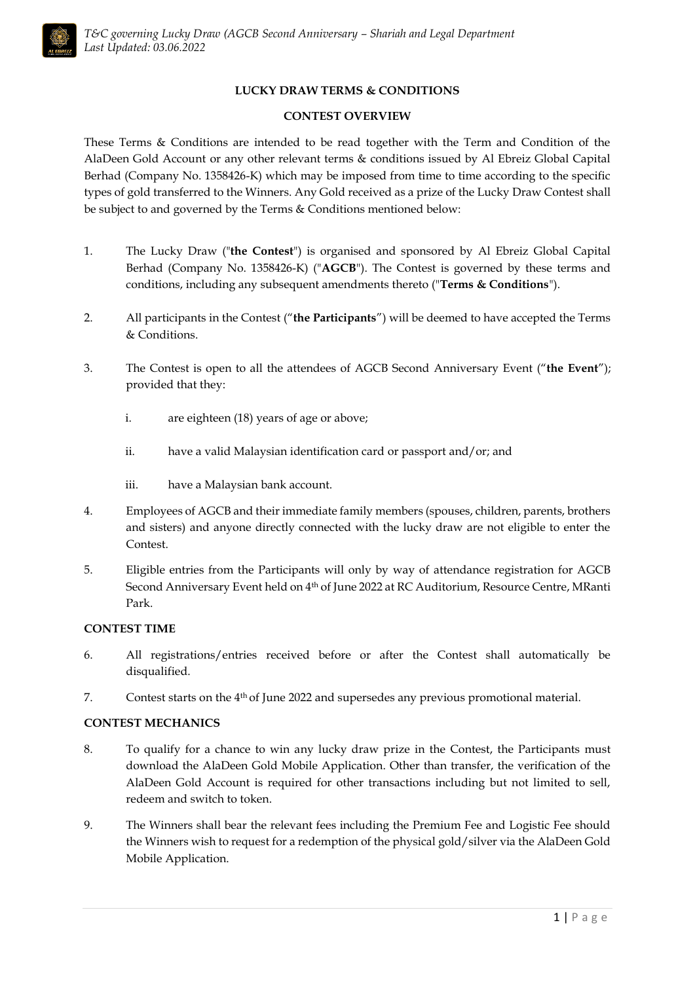# **LUCKY DRAW TERMS & CONDITIONS**

# **CONTEST OVERVIEW**

These Terms & Conditions are intended to be read together with the Term and Condition of the AlaDeen Gold Account or any other relevant terms & conditions issued by Al Ebreiz Global Capital Berhad (Company No. 1358426-K) which may be imposed from time to time according to the specific types of gold transferred to the Winners. Any Gold received as a prize of the Lucky Draw Contest shall be subject to and governed by the Terms & Conditions mentioned below:

- 1. The Lucky Draw ("**the Contest**") is organised and sponsored by Al Ebreiz Global Capital Berhad (Company No. 1358426-K) ("**AGCB**"). The Contest is governed by these terms and conditions, including any subsequent amendments thereto ("**Terms & Conditions**").
- 2. All participants in the Contest ("**the Participants**") will be deemed to have accepted the Terms & Conditions.
- 3. The Contest is open to all the attendees of AGCB Second Anniversary Event ("**the Event**"); provided that they:
	- i. are eighteen (18) years of age or above;
	- ii. have a valid Malaysian identification card or passport and/or; and
	- iii. have a Malaysian bank account.
- 4. Employees of AGCB and their immediate family members (spouses, children, parents, brothers and sisters) and anyone directly connected with the lucky draw are not eligible to enter the Contest.
- 5. Eligible entries from the Participants will only by way of attendance registration for AGCB Second Anniversary Event held on 4<sup>th</sup> of June 2022 at RC Auditorium, Resource Centre, MRanti Park.

# **CONTEST TIME**

- 6. All registrations/entries received before or after the Contest shall automatically be disqualified.
- 7. Contest starts on the 4 th of June 2022 and supersedes any previous promotional material.

# **CONTEST MECHANICS**

- 8. To qualify for a chance to win any lucky draw prize in the Contest, the Participants must download the AlaDeen Gold Mobile Application. Other than transfer, the verification of the AlaDeen Gold Account is required for other transactions including but not limited to sell, redeem and switch to token.
- 9. The Winners shall bear the relevant fees including the Premium Fee and Logistic Fee should the Winners wish to request for a redemption of the physical gold/silver via the AlaDeen Gold Mobile Application.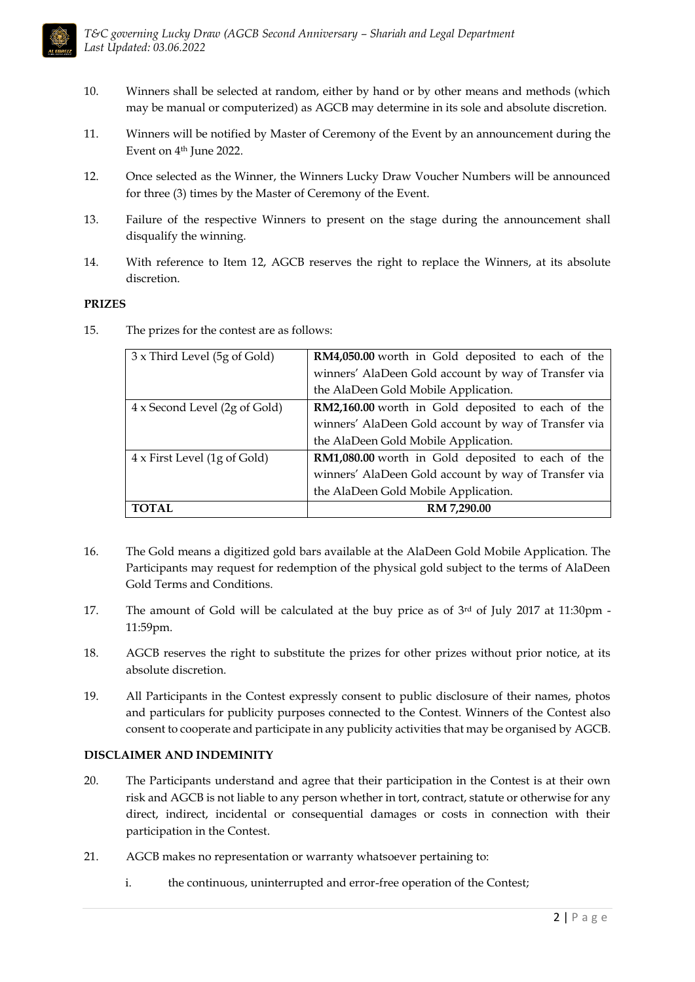

- 10. Winners shall be selected at random, either by hand or by other means and methods (which may be manual or computerized) as AGCB may determine in its sole and absolute discretion.
- 11. Winners will be notified by Master of Ceremony of the Event by an announcement during the Event on 4th June 2022.
- 12. Once selected as the Winner, the Winners Lucky Draw Voucher Numbers will be announced for three (3) times by the Master of Ceremony of the Event.
- 13. Failure of the respective Winners to present on the stage during the announcement shall disqualify the winning.
- 14. With reference to Item 12, AGCB reserves the right to replace the Winners, at its absolute discretion.

# **PRIZES**

15. The prizes for the contest are as follows:

| <b>TOTAL</b>                        | RM 7,290.00                                          |
|-------------------------------------|------------------------------------------------------|
|                                     | the AlaDeen Gold Mobile Application.                 |
|                                     | winners' AlaDeen Gold account by way of Transfer via |
| $4 \times$ First Level (1g of Gold) | RM1,080.00 worth in Gold deposited to each of the    |
|                                     | the AlaDeen Gold Mobile Application.                 |
|                                     | winners' AlaDeen Gold account by way of Transfer via |
| 4 x Second Level (2g of Gold)       | RM2,160.00 worth in Gold deposited to each of the    |
|                                     | the AlaDeen Gold Mobile Application.                 |
|                                     | winners' AlaDeen Gold account by way of Transfer via |
| 3 x Third Level (5g of Gold)        | RM4,050.00 worth in Gold deposited to each of the    |

- 16. The Gold means a digitized gold bars available at the AlaDeen Gold Mobile Application. The Participants may request for redemption of the physical gold subject to the terms of AlaDeen Gold Terms and Conditions.
- 17. The amount of Gold will be calculated at the buy price as of  $3<sup>rd</sup>$  of July 2017 at 11:30pm -11:59pm.
- 18. AGCB reserves the right to substitute the prizes for other prizes without prior notice, at its absolute discretion.
- 19. All Participants in the Contest expressly consent to public disclosure of their names, photos and particulars for publicity purposes connected to the Contest. Winners of the Contest also consent to cooperate and participate in any publicity activities that may be organised by AGCB.

# **DISCLAIMER AND INDEMINITY**

- 20. The Participants understand and agree that their participation in the Contest is at their own risk and AGCB is not liable to any person whether in tort, contract, statute or otherwise for any direct, indirect, incidental or consequential damages or costs in connection with their participation in the Contest.
- 21. AGCB makes no representation or warranty whatsoever pertaining to:
	- i. the continuous, uninterrupted and error-free operation of the Contest;